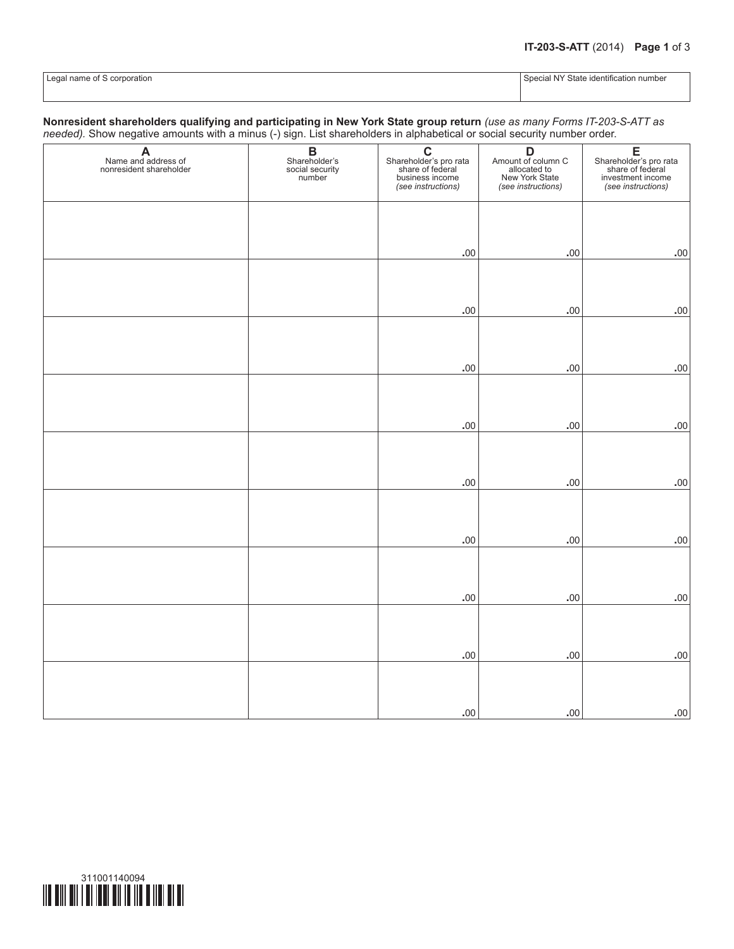| I Legal name of S cor<br>corporation<br>. | .<br>State<br>identification<br>shecir,<br>number<br>. NY<br>ا 17 ا. ا. |
|-------------------------------------------|-------------------------------------------------------------------------|
|                                           |                                                                         |

## **Nonresident shareholders qualifying and participating in New York State group return** *(use as many Forms IT-203-S-ATT as needed).* Show negative amounts with a minus (-) sign. List shareholders in alphabetical or social security number order.

| A<br>Name and address of<br>nonresident shareholder | <b>B</b><br>Shareholder's<br>social security<br>number | $\overline{c}$<br>Shareholder's pro rata<br>share of federal<br>business income | <b>D</b><br>Amount of column C<br>allocated to<br>New York State<br>(see instructions) | E<br>Shareholder's pro rata<br>share of federal<br>investment income<br>(see instructions) |
|-----------------------------------------------------|--------------------------------------------------------|---------------------------------------------------------------------------------|----------------------------------------------------------------------------------------|--------------------------------------------------------------------------------------------|
|                                                     |                                                        | (see instructions)                                                              |                                                                                        |                                                                                            |
|                                                     |                                                        |                                                                                 |                                                                                        |                                                                                            |
|                                                     |                                                        |                                                                                 |                                                                                        |                                                                                            |
|                                                     |                                                        | .00                                                                             | $.00$                                                                                  | $.00$                                                                                      |
|                                                     |                                                        |                                                                                 |                                                                                        |                                                                                            |
|                                                     |                                                        |                                                                                 |                                                                                        |                                                                                            |
|                                                     |                                                        | $.00 \,$                                                                        | $.00 \,$                                                                               | .00                                                                                        |
|                                                     |                                                        |                                                                                 |                                                                                        |                                                                                            |
|                                                     |                                                        |                                                                                 |                                                                                        |                                                                                            |
|                                                     |                                                        | .00                                                                             | .00                                                                                    | .00                                                                                        |
|                                                     |                                                        |                                                                                 |                                                                                        |                                                                                            |
|                                                     |                                                        |                                                                                 |                                                                                        |                                                                                            |
|                                                     |                                                        | .00                                                                             | .00                                                                                    | $.00$                                                                                      |
|                                                     |                                                        |                                                                                 |                                                                                        |                                                                                            |
|                                                     |                                                        | .00                                                                             |                                                                                        | $.00$                                                                                      |
|                                                     |                                                        |                                                                                 | $.00$                                                                                  |                                                                                            |
|                                                     |                                                        |                                                                                 |                                                                                        |                                                                                            |
|                                                     |                                                        | $.00 \,$                                                                        | $.00$                                                                                  | $.00$                                                                                      |
|                                                     |                                                        |                                                                                 |                                                                                        |                                                                                            |
|                                                     |                                                        |                                                                                 |                                                                                        |                                                                                            |
|                                                     |                                                        | $.00$                                                                           | .00                                                                                    | $.00$                                                                                      |
|                                                     |                                                        |                                                                                 |                                                                                        |                                                                                            |
|                                                     |                                                        |                                                                                 |                                                                                        |                                                                                            |
|                                                     |                                                        | $.00 \,$                                                                        | $.00$                                                                                  | $.00$                                                                                      |
|                                                     |                                                        |                                                                                 |                                                                                        |                                                                                            |
|                                                     |                                                        |                                                                                 |                                                                                        |                                                                                            |
|                                                     |                                                        | $\boldsymbol{.00}$                                                              | $\boldsymbol{.00}$                                                                     | $.00$                                                                                      |

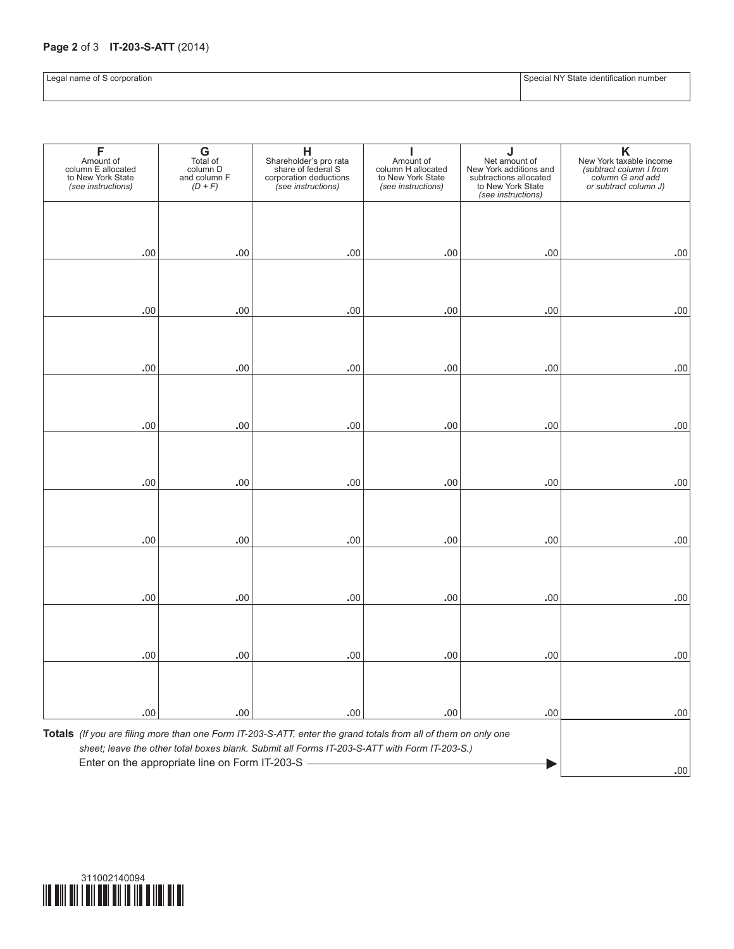## **Page 2** of 3 **IT-203-S-ATT** (2014)

|  | Special NY State identification number |  |
|--|----------------------------------------|--|
|  |                                        |  |

Legal name of S corporation

| to New York State<br>(see instructions) | column D<br>and column F<br>$(D + F)$ | share of federal S<br>corporation deductions<br>(see instructions) | Amount of<br>column H allocated<br>to New York State<br>(see instructions) | Net amount of<br>New York additions and<br>subtractions allocated<br>to New York State<br>(see instructions) | New York taxable income<br>(subtract column I from<br>column G and add<br>or subtract column J) |
|-----------------------------------------|---------------------------------------|--------------------------------------------------------------------|----------------------------------------------------------------------------|--------------------------------------------------------------------------------------------------------------|-------------------------------------------------------------------------------------------------|
|                                         |                                       |                                                                    |                                                                            |                                                                                                              |                                                                                                 |
| .00                                     | .00                                   | .00                                                                | .00                                                                        | .00                                                                                                          | .00                                                                                             |
|                                         |                                       |                                                                    |                                                                            |                                                                                                              |                                                                                                 |
| .00.                                    | .00                                   | .00                                                                | .00                                                                        | .00                                                                                                          | .00                                                                                             |
|                                         |                                       |                                                                    |                                                                            |                                                                                                              |                                                                                                 |
| .00                                     | .00                                   | .00                                                                | .00                                                                        | .00                                                                                                          | .00                                                                                             |
|                                         |                                       |                                                                    |                                                                            |                                                                                                              |                                                                                                 |
| .00                                     | .00                                   | .00                                                                | .00                                                                        | .00                                                                                                          | .00                                                                                             |
|                                         |                                       |                                                                    |                                                                            |                                                                                                              |                                                                                                 |
| .00                                     | .00                                   | .00                                                                | .00                                                                        | .00                                                                                                          | .00                                                                                             |
|                                         |                                       |                                                                    |                                                                            |                                                                                                              |                                                                                                 |
| .00                                     | .00                                   | .00                                                                | .00                                                                        | .00                                                                                                          | .00                                                                                             |
|                                         |                                       |                                                                    |                                                                            |                                                                                                              |                                                                                                 |
| .00                                     | .00                                   | .00.                                                               | .00                                                                        | .00                                                                                                          | .00                                                                                             |
|                                         |                                       |                                                                    |                                                                            |                                                                                                              |                                                                                                 |
| .00                                     | .00                                   | .00                                                                | .00                                                                        | .00                                                                                                          | .00                                                                                             |
|                                         |                                       |                                                                    |                                                                            |                                                                                                              |                                                                                                 |
| .00                                     | .00                                   | .00                                                                | .00                                                                        | .00                                                                                                          | .00                                                                                             |

Enter on the appropriate line on Form IT-203-S **1.00 1.00 1.00 1.00 1.00 1.000 1.000 1.000 1.000 1.000 1.000 1.000 1.000 1.000 1.000 1.000 1.000 1.000 1.000 1.000 1.000 1.000 1.000 1.000 1.000 1.000 1.0000 1.0000**